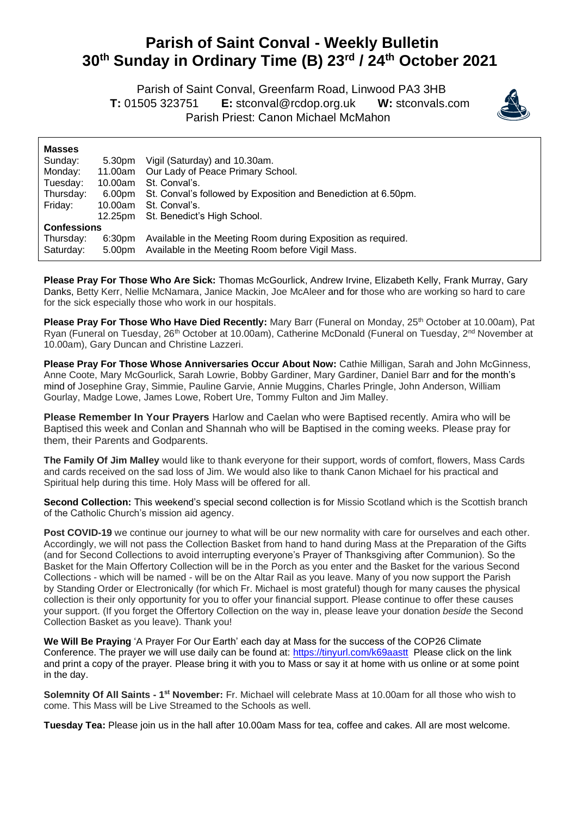## **Parish of Saint Conval - Weekly Bulletin 30th Sunday in Ordinary Time (B) 23rd / 24th October 2021**

 Parish of Saint Conval, Greenfarm Road, Linwood PA3 3HB **T:** 01505 323751 **E:** [stconval@rcdop.org.uk](mailto:stconval@rcdop.org.uk) **W:** stconvals.com Parish Priest: Canon Michael McMahon



| <b>Masses</b>      |                    |                                                                |
|--------------------|--------------------|----------------------------------------------------------------|
| Sunday:            | 5.30pm             | Vigil (Saturday) and 10.30am.                                  |
| Monday:            | 11.00am            | Our Lady of Peace Primary School.                              |
| Tuesday:           | 10.00am            | St. Conval's.                                                  |
| Thursday:          | 6.00pm             | St. Conval's followed by Exposition and Benediction at 6.50pm. |
| Friday:            | 10.00am            | St. Conval's.                                                  |
|                    | 12.25pm            | St. Benedict's High School.                                    |
| <b>Confessions</b> |                    |                                                                |
| Thursday:          | 6:30 <sub>pm</sub> | Available in the Meeting Room during Exposition as required.   |
| Saturday:          | 5.00pm             | Available in the Meeting Room before Vigil Mass.               |

**Please Pray For Those Who Are Sick:** Thomas McGourlick, Andrew Irvine, Elizabeth Kelly, Frank Murray, Gary Danks, Betty Kerr, Nellie McNamara, Janice Mackin, Joe McAleer and for those who are working so hard to care for the sick especially those who work in our hospitals.

**Please Pray For Those Who Have Died Recently:** Mary Barr (Funeral on Monday, 25<sup>th</sup> October at 10.00am), Pat Ryan (Funeral on Tuesday, 26<sup>th</sup> October at 10.00am), Catherine McDonald (Funeral on Tuesday, 2<sup>nd</sup> November at 10.00am), Gary Duncan and Christine Lazzeri.

**Please Pray For Those Whose Anniversaries Occur About Now:** Cathie Milligan, Sarah and John McGinness, Anne Coote, Mary McGourlick, Sarah Lowrie, Bobby Gardiner, Mary Gardiner, Daniel Barr and for the month's mind of Josephine Gray, Simmie, Pauline Garvie, Annie Muggins, Charles Pringle, John Anderson, William Gourlay, Madge Lowe, James Lowe, Robert Ure, Tommy Fulton and Jim Malley.

**Please Remember In Your Prayers** Harlow and Caelan who were Baptised recently. Amira who will be Baptised this week and Conlan and Shannah who will be Baptised in the coming weeks. Please pray for them, their Parents and Godparents.

**The Family Of Jim Malley** would like to thank everyone for their support, words of comfort, flowers, Mass Cards and cards received on the sad loss of Jim. We would also like to thank Canon Michael for his practical and Spiritual help during this time. Holy Mass will be offered for all.

**Second Collection:** This weekend's special second collection is for Missio Scotland which is the Scottish branch of the Catholic Church's mission aid agency.

**Post COVID-19** we continue our journey to what will be our new normality with care for ourselves and each other. Accordingly, we will not pass the Collection Basket from hand to hand during Mass at the Preparation of the Gifts (and for Second Collections to avoid interrupting everyone's Prayer of Thanksgiving after Communion). So the Basket for the Main Offertory Collection will be in the Porch as you enter and the Basket for the various Second Collections - which will be named - will be on the Altar Rail as you leave. Many of you now support the Parish by Standing Order or Electronically (for which Fr. Michael is most grateful) though for many causes the physical collection is their only opportunity for you to offer your financial support. Please continue to offer these causes your support. (If you forget the Offertory Collection on the way in, please leave your donation *beside* the Second Collection Basket as you leave). Thank you!

**We Will Be Praying** 'A Prayer For Our Earth' each day at Mass for the success of the COP26 Climate Conference. The prayer we will use daily can be found at: <https://tinyurl.com/k69aastt>Please click on the link and print a copy of the prayer. Please bring it with you to Mass or say it at home with us online or at some point in the day.

Solemnity Of All Saints - 1<sup>st</sup> November: Fr. Michael will celebrate Mass at 10.00am for all those who wish to come. This Mass will be Live Streamed to the Schools as well.

**Tuesday Tea:** Please join us in the hall after 10.00am Mass for tea, coffee and cakes. All are most welcome.